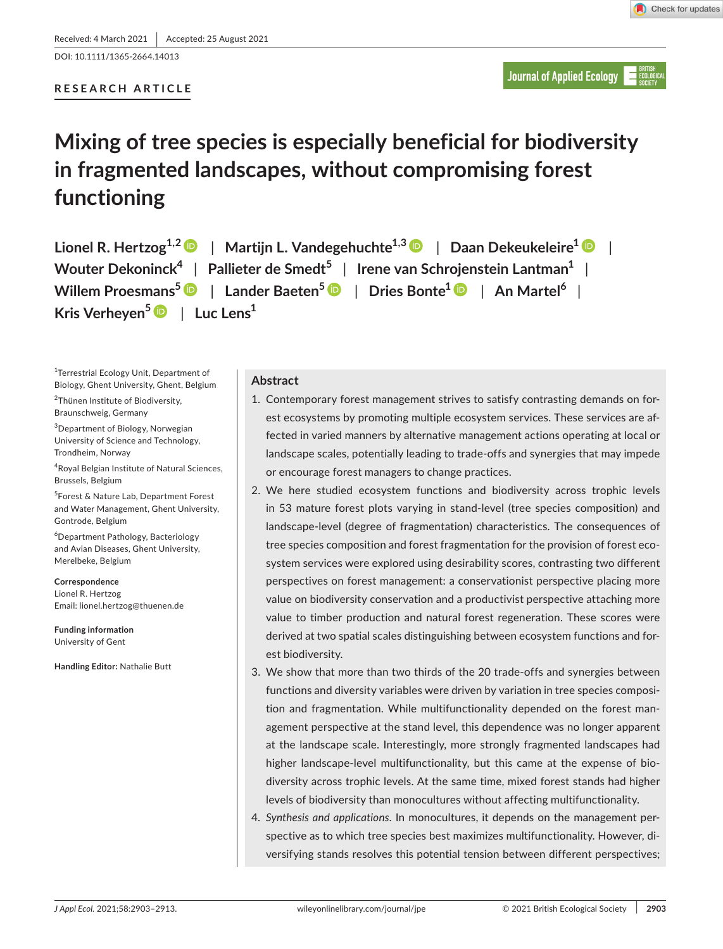DOI: 10.1111/1365-2664.14013

## **RESEARCH ARTICLE**

# **Mixing of tree species is especially beneficial for biodiversity in fragmented landscapes, without compromising forest functioning**

**Lionel R. Hertzog1,[2](https://orcid.org/0000-0002-7814-5109)** | **Martijn L. Vandegehuchte1,3** | **Daan Dekeukeleire[1](https://orcid.org/0000-0003-0664-8396)** | **Wouter Dekoninck<sup>4</sup>** | **Pallieter de Smedt<sup>5</sup>** | **Irene van Schrojenstein Lantman<sup>1</sup>** | **Willem Proesmans[5](https://orcid.org/0000-0003-0358-6732)** | **Lander Baeten<sup>5</sup>** | **Dries Bonte<sup>1</sup>** | **An Martel<sup>6</sup>** | **Kris Verheyen[5](https://orcid.org/0000-0002-2067-9108)** | **Luc Lens<sup>1</sup>**

1 Terrestrial Ecology Unit, Department of Biology, Ghent University, Ghent, Belgium 2 Thünen Institute of Biodiversity,

Braunschweig, Germany

3 Department of Biology, Norwegian University of Science and Technology, Trondheim, Norway

4 Royal Belgian Institute of Natural Sciences, Brussels, Belgium

5 Forest & Nature Lab, Department Forest and Water Management, Ghent University, Gontrode, Belgium

6 Department Pathology, Bacteriology and Avian Diseases, Ghent University, Merelbeke, Belgium

**Correspondence** Lionel R. Hertzog Email: [lionel.hertzog@thuenen.de](mailto:lionel.hertzog@thuenen.de)

**Funding information** University of Gent

**Handling Editor:** Nathalie Butt

## **Abstract**

- 1. Contemporary forest management strives to satisfy contrasting demands on forest ecosystems by promoting multiple ecosystem services. These services are affected in varied manners by alternative management actions operating at local or landscape scales, potentially leading to trade-offs and synergies that may impede or encourage forest managers to change practices.
- 2. We here studied ecosystem functions and biodiversity across trophic levels in 53 mature forest plots varying in stand-level (tree species composition) and landscape-level (degree of fragmentation) characteristics. The consequences of tree species composition and forest fragmentation for the provision of forest ecosystem services were explored using desirability scores, contrasting two different perspectives on forest management: a conservationist perspective placing more value on biodiversity conservation and a productivist perspective attaching more value to timber production and natural forest regeneration. These scores were derived at two spatial scales distinguishing between ecosystem functions and forest biodiversity.
- 3. We show that more than two thirds of the 20 trade-offs and synergies between functions and diversity variables were driven by variation in tree species composition and fragmentation. While multifunctionality depended on the forest management perspective at the stand level, this dependence was no longer apparent at the landscape scale. Interestingly, more strongly fragmented landscapes had higher landscape-level multifunctionality, but this came at the expense of biodiversity across trophic levels. At the same time, mixed forest stands had higher levels of biodiversity than monocultures without affecting multifunctionality.
- 4. *Synthesis and applications*. In monocultures, it depends on the management perspective as to which tree species best maximizes multifunctionality. However, diversifying stands resolves this potential tension between different perspectives;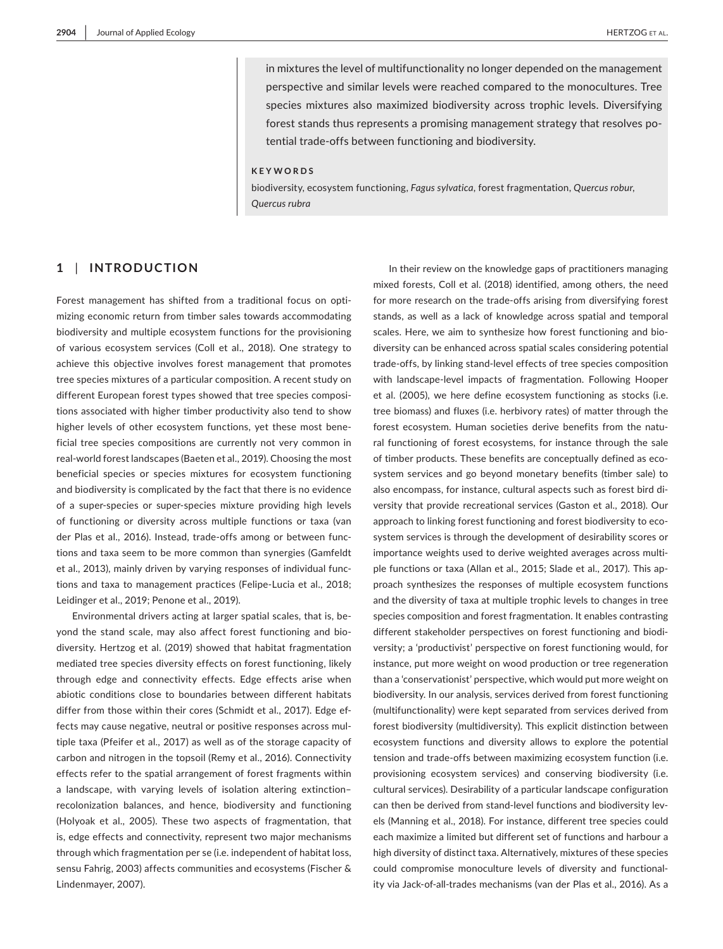in mixtures the level of multifunctionality no longer depended on the management perspective and similar levels were reached compared to the monocultures. Tree species mixtures also maximized biodiversity across trophic levels. Diversifying forest stands thus represents a promising management strategy that resolves potential trade-offs between functioning and biodiversity.

#### **KEYWORDS**

biodiversity, ecosystem functioning, *Fagus sylvatica*, forest fragmentation, *Quercus robur*, *Quercus rubra*

## **1** | **INTRODUCTION**

Forest management has shifted from a traditional focus on optimizing economic return from timber sales towards accommodating biodiversity and multiple ecosystem functions for the provisioning of various ecosystem services (Coll et al., 2018). One strategy to achieve this objective involves forest management that promotes tree species mixtures of a particular composition. A recent study on different European forest types showed that tree species compositions associated with higher timber productivity also tend to show higher levels of other ecosystem functions, yet these most beneficial tree species compositions are currently not very common in real-world forest landscapes (Baeten et al., 2019). Choosing the most beneficial species or species mixtures for ecosystem functioning and biodiversity is complicated by the fact that there is no evidence of a super-species or super-species mixture providing high levels of functioning or diversity across multiple functions or taxa (van der Plas et al., 2016). Instead, trade-offs among or between functions and taxa seem to be more common than synergies (Gamfeldt et al., 2013), mainly driven by varying responses of individual functions and taxa to management practices (Felipe-Lucia et al., 2018; Leidinger et al., 2019; Penone et al., 2019).

Environmental drivers acting at larger spatial scales, that is, beyond the stand scale, may also affect forest functioning and biodiversity. Hertzog et al. (2019) showed that habitat fragmentation mediated tree species diversity effects on forest functioning, likely through edge and connectivity effects. Edge effects arise when abiotic conditions close to boundaries between different habitats differ from those within their cores (Schmidt et al., 2017). Edge effects may cause negative, neutral or positive responses across multiple taxa (Pfeifer et al., 2017) as well as of the storage capacity of carbon and nitrogen in the topsoil (Remy et al., 2016). Connectivity effects refer to the spatial arrangement of forest fragments within a landscape, with varying levels of isolation altering extinction– recolonization balances, and hence, biodiversity and functioning (Holyoak et al., 2005). These two aspects of fragmentation, that is, edge effects and connectivity, represent two major mechanisms through which fragmentation per se (i.e. independent of habitat loss, sensu Fahrig, 2003) affects communities and ecosystems (Fischer & Lindenmayer, 2007).

In their review on the knowledge gaps of practitioners managing mixed forests, Coll et al. (2018) identified, among others, the need for more research on the trade-offs arising from diversifying forest stands, as well as a lack of knowledge across spatial and temporal scales. Here, we aim to synthesize how forest functioning and biodiversity can be enhanced across spatial scales considering potential trade-offs, by linking stand-level effects of tree species composition with landscape-level impacts of fragmentation. Following Hooper et al. (2005), we here define ecosystem functioning as stocks (i.e. tree biomass) and fluxes (i.e. herbivory rates) of matter through the forest ecosystem. Human societies derive benefits from the natural functioning of forest ecosystems, for instance through the sale of timber products. These benefits are conceptually defined as ecosystem services and go beyond monetary benefits (timber sale) to also encompass, for instance, cultural aspects such as forest bird diversity that provide recreational services (Gaston et al., 2018). Our approach to linking forest functioning and forest biodiversity to ecosystem services is through the development of desirability scores or importance weights used to derive weighted averages across multiple functions or taxa (Allan et al., 2015; Slade et al., 2017). This approach synthesizes the responses of multiple ecosystem functions and the diversity of taxa at multiple trophic levels to changes in tree species composition and forest fragmentation. It enables contrasting different stakeholder perspectives on forest functioning and biodiversity; a 'productivist' perspective on forest functioning would, for instance, put more weight on wood production or tree regeneration than a 'conservationist' perspective, which would put more weight on biodiversity. In our analysis, services derived from forest functioning (multifunctionality) were kept separated from services derived from forest biodiversity (multidiversity). This explicit distinction between ecosystem functions and diversity allows to explore the potential tension and trade-offs between maximizing ecosystem function (i.e. provisioning ecosystem services) and conserving biodiversity (i.e. cultural services). Desirability of a particular landscape configuration can then be derived from stand-level functions and biodiversity levels (Manning et al., 2018). For instance, different tree species could each maximize a limited but different set of functions and harbour a high diversity of distinct taxa. Alternatively, mixtures of these species could compromise monoculture levels of diversity and functionality via Jack-of-all-trades mechanisms (van der Plas et al., 2016). As a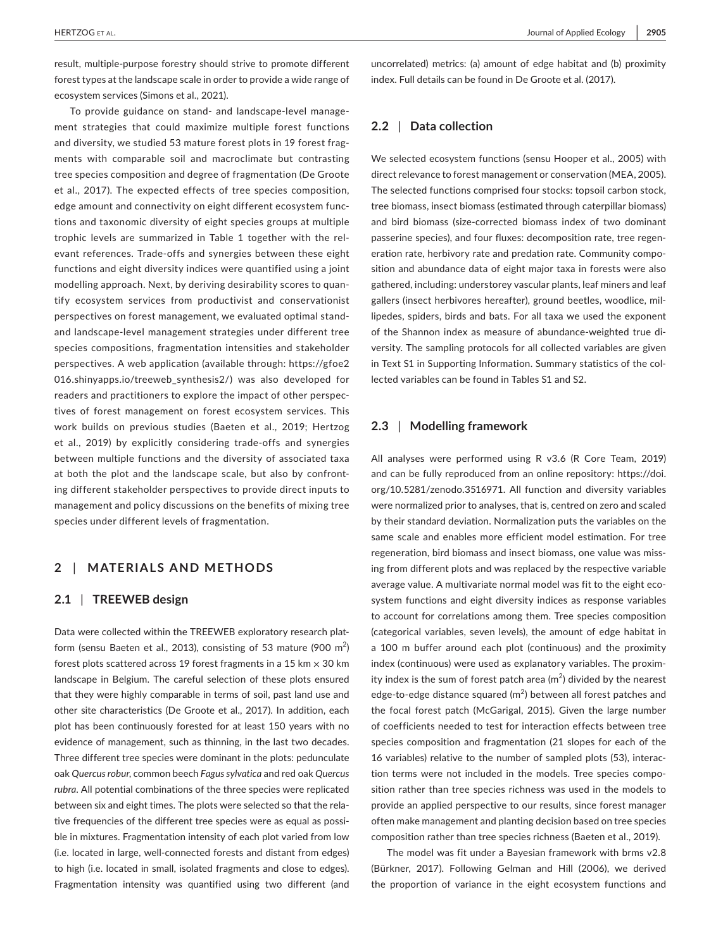result, multiple-purpose forestry should strive to promote different forest types at the landscape scale in order to provide a wide range of ecosystem services (Simons et al., 2021).

To provide guidance on stand- and landscape-level management strategies that could maximize multiple forest functions and diversity, we studied 53 mature forest plots in 19 forest fragments with comparable soil and macroclimate but contrasting tree species composition and degree of fragmentation (De Groote et al., 2017). The expected effects of tree species composition, edge amount and connectivity on eight different ecosystem functions and taxonomic diversity of eight species groups at multiple trophic levels are summarized in Table 1 together with the relevant references. Trade-offs and synergies between these eight functions and eight diversity indices were quantified using a joint modelling approach. Next, by deriving desirability scores to quantify ecosystem services from productivist and conservationist perspectives on forest management, we evaluated optimal standand landscape-level management strategies under different tree species compositions, fragmentation intensities and stakeholder perspectives. A web application (available through: [https://gfoe2](https://gfoe2016.shinyapps.io/treeweb_synthesis2/) [016.shinyapps.io/treeweb\\_synthesis2/](https://gfoe2016.shinyapps.io/treeweb_synthesis2/)) was also developed for readers and practitioners to explore the impact of other perspectives of forest management on forest ecosystem services. This work builds on previous studies (Baeten et al., 2019; Hertzog et al., 2019) by explicitly considering trade-offs and synergies between multiple functions and the diversity of associated taxa at both the plot and the landscape scale, but also by confronting different stakeholder perspectives to provide direct inputs to management and policy discussions on the benefits of mixing tree species under different levels of fragmentation.

## **2** | **MATERIALS AND METHODS**

## **2.1** | **TREEWEB design**

Data were collected within the TREEWEB exploratory research platform (sensu Baeten et al., 2013), consisting of 53 mature (900  $\mathrm{m}^{2}\mathrm{/}$ forest plots scattered across 19 forest fragments in a 15 km  $\times$  30 km landscape in Belgium. The careful selection of these plots ensured that they were highly comparable in terms of soil, past land use and other site characteristics (De Groote et al., 2017). In addition, each plot has been continuously forested for at least 150 years with no evidence of management, such as thinning, in the last two decades. Three different tree species were dominant in the plots: pedunculate oak *Quercus robur*, common beech *Fagus sylvatica* and red oak *Quercus rubra*. All potential combinations of the three species were replicated between six and eight times. The plots were selected so that the relative frequencies of the different tree species were as equal as possible in mixtures. Fragmentation intensity of each plot varied from low (i.e. located in large, well-connected forests and distant from edges) to high (i.e. located in small, isolated fragments and close to edges). Fragmentation intensity was quantified using two different (and

uncorrelated) metrics: (a) amount of edge habitat and (b) proximity index. Full details can be found in De Groote et al. (2017).

# **2.2** | **Data collection**

We selected ecosystem functions (sensu Hooper et al., 2005) with direct relevance to forest management or conservation (MEA, 2005). The selected functions comprised four stocks: topsoil carbon stock, tree biomass, insect biomass (estimated through caterpillar biomass) and bird biomass (size-corrected biomass index of two dominant passerine species), and four fluxes: decomposition rate, tree regeneration rate, herbivory rate and predation rate. Community composition and abundance data of eight major taxa in forests were also gathered, including: understorey vascular plants, leaf miners and leaf gallers (insect herbivores hereafter), ground beetles, woodlice, millipedes, spiders, birds and bats. For all taxa we used the exponent of the Shannon index as measure of abundance-weighted true diversity. The sampling protocols for all collected variables are given in Text S1 in Supporting Information. Summary statistics of the collected variables can be found in Tables S1 and S2.

## **2.3** | **Modelling framework**

All analyses were performed using R v3.6 (R Core Team, 2019) and can be fully reproduced from an online repository: [https://doi.](https://doi.org/10.5281/zenodo.3516971) [org/10.5281/zenodo.3516971.](https://doi.org/10.5281/zenodo.3516971) All function and diversity variables were normalized prior to analyses, that is, centred on zero and scaled by their standard deviation. Normalization puts the variables on the same scale and enables more efficient model estimation. For tree regeneration, bird biomass and insect biomass, one value was missing from different plots and was replaced by the respective variable average value. A multivariate normal model was fit to the eight ecosystem functions and eight diversity indices as response variables to account for correlations among them. Tree species composition (categorical variables, seven levels), the amount of edge habitat in a 100 m buffer around each plot (continuous) and the proximity index (continuous) were used as explanatory variables. The proximity index is the sum of forest patch area  $(m^2)$  divided by the nearest edge-to-edge distance squared  $(m^2)$  between all forest patches and the focal forest patch (McGarigal, 2015). Given the large number of coefficients needed to test for interaction effects between tree species composition and fragmentation (21 slopes for each of the 16 variables) relative to the number of sampled plots (53), interaction terms were not included in the models. Tree species composition rather than tree species richness was used in the models to provide an applied perspective to our results, since forest manager often make management and planting decision based on tree species composition rather than tree species richness (Baeten et al., 2019).

The model was fit under a Bayesian framework with brms v2.8 (Bürkner, 2017). Following Gelman and Hill (2006), we derived the proportion of variance in the eight ecosystem functions and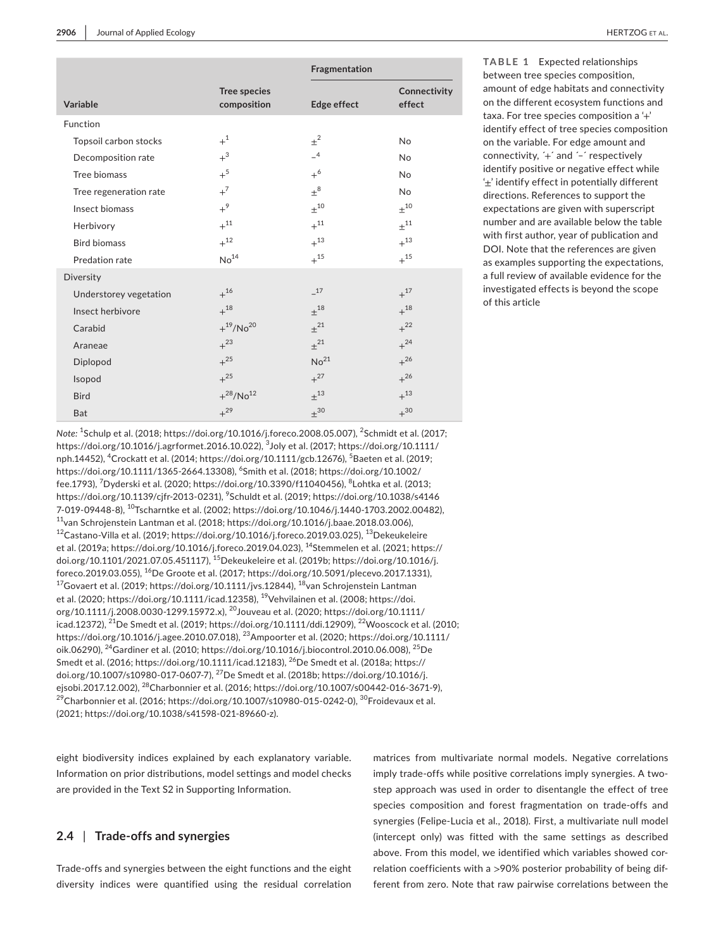|                        |                                    | Fragmentation       |                        |
|------------------------|------------------------------------|---------------------|------------------------|
| Variable               | <b>Tree species</b><br>composition | Edge effect         | Connectivity<br>effect |
| Function               |                                    |                     |                        |
| Topsoil carbon stocks  | $+1$                               | $\pm^2$             | <b>No</b>              |
| Decomposition rate     | $+$ <sup>3</sup>                   | $-4$                | <b>No</b>              |
| Tree biomass           | $+$ <sup>5</sup>                   | $+^6$               | <b>No</b>              |
| Tree regeneration rate | $+^7$                              | $\pm^8$             | <b>No</b>              |
| Insect biomass         | $+^9$                              | $+^{10}$            | $+^{10}$               |
| Herbivory              | $+^{11}$                           | $+^{11}$            | $\pm$ <sup>11</sup>    |
| <b>Bird biomass</b>    | $+$ <sup>12</sup>                  | $+^{13}$            | $+^{13}$               |
| Predation rate         | No <sup>14</sup>                   | $+^{15}$            | $+^{15}$               |
| Diversity              |                                    |                     |                        |
| Understorey vegetation | $+^{16}$                           | $-17$               | $+^{17}$               |
| Insect herbivore       | $+^{18}$                           | $+^{18}$            | $+^{18}$               |
| Carabid                | $+{}^{19}/No^{20}$                 | $\pm^{21}$          | $+^{22}$               |
| Araneae                | $+^{23}$                           | $+^{21}$            | $+^{24}$               |
| Diplopod               | $+^{25}$                           | No <sup>21</sup>    | $+^{26}$               |
| Isopod                 | $+^{25}$                           | $+^{27}$            | $+^{26}$               |
| <b>Bird</b>            | $+{}^{28}/No12$                    | $+^{13}$            | $+$ <sup>13</sup>      |
| <b>Bat</b>             | $+^{29}$                           | $\pm$ <sup>30</sup> | $+$ 30                 |

*Note:* <sup>1</sup> Schulp et al. (2018; [https://doi.org/10.1016/j.foreco.2008.05.007\)](https://doi.org/10.1016/j.foreco.2008.05.007), <sup>2</sup> Schmidt et al. (2017; <https://doi.org/10.1016/j.agrformet.2016.10.022>), <sup>3</sup> Joly et al. (2017; [https://doi.org/10.1111/](https://doi.org/10.1111/nph.14452) [nph.14452\)](https://doi.org/10.1111/nph.14452), <sup>4</sup>Crockatt et al. (2014; <https://doi.org/10.1111/gcb.12676>), <sup>5</sup>Baeten et al. (2019; <https://doi.org/10.1111/1365-2664.13308>), <sup>6</sup> Smith et al. (2018; [https://doi.org/10.1002/](https://doi.org/10.1002/fee.1793) [fee.1793](https://doi.org/10.1002/fee.1793)), <sup>7</sup>Dyderski et al. (2020; [https://doi.org/10.3390/f11040456\)](https://doi.org/10.3390/f11040456), <sup>8</sup>Lohtka et al. (2013; <https://doi.org/10.1139/cjfr-2013-0231>), <sup>9</sup>Schuldt et al. (2019; [https://doi.org/10.1038/s4146](https://doi.org/10.1038/s41467-019-09448-8) [7-019-09448-8](https://doi.org/10.1038/s41467-019-09448-8)), <sup>10</sup>Tscharntke et al. (2002; <https://doi.org/10.1046/j.1440-1703.2002.00482>),  $11$ van Schrojenstein Lantman et al. (2018; [https://doi.org/10.1016/j.baae.2018.03.006\)](https://doi.org/10.1016/j.baae.2018.03.006), <sup>12</sup>Castano-Villa et al. (2019; [https://doi.org/10.1016/j.foreco.2019.03.025\)](https://doi.org/10.1016/j.foreco.2019.03.025), 13Dekeukeleire et al. (2019a; [https://doi.org/10.1016/j.foreco.2019.04.023\)](https://doi.org/10.1016/j.foreco.2019.04.023), <sup>14</sup>Stemmelen et al. (2021; [https://](https://doi.org/10.1101/2021.07.05.451117) [doi.org/10.1101/2021.07.05.451117\)](https://doi.org/10.1101/2021.07.05.451117), <sup>15</sup>Dekeukeleire et al. (2019b; [https://doi.org/10.1016/j.](https://doi.org/10.1016/j.foreco.2019.03.055) foreco.2019.03.055), <sup>16</sup>De Groote et al. (2017; <https://doi.org/10.5091/plecevo.2017.1331>), <sup>17</sup>Govaert et al. (2019;<https://doi.org/10.1111/jvs.12844>), <sup>18</sup>van Schrojenstein Lantman et al. (2020;<https://doi.org/10.1111/icad.12358>), <sup>19</sup>Vehvilainen et al. (2008; [https://doi.](https://doi.org/10.1111/j.2008.0030-1299.15972.x) [org/10.1111/j.2008.0030-1299.15972.x](https://doi.org/10.1111/j.2008.0030-1299.15972.x)), <sup>20</sup>Jouveau et al. (2020; [https://doi.org/10.1111/](https://doi.org/10.1111/icad.12372) [icad.12372\)](https://doi.org/10.1111/icad.12372), <sup>21</sup>De Smedt et al. (2019;<https://doi.org/10.1111/ddi.12909>), <sup>22</sup>Wooscock et al. (2010; <https://doi.org/10.1016/j.agee.2010.07.018>), <sup>23</sup>Ampoorter et al. (2020; [https://doi.org/10.1111/](https://doi.org/10.1111/oik.06290) [oik.06290\)](https://doi.org/10.1111/oik.06290), <sup>24</sup>Gardiner et al. (2010;<https://doi.org/10.1016/j.biocontrol.2010.06.008>), 25De Smedt et al. (2016; <https://doi.org/10.1111/icad.12183>), <sup>26</sup>De Smedt et al. (2018a; [https://](https://doi.org/10.1007/s10980-017-0607-7) [doi.org/10.1007/s10980-017-0607-7](https://doi.org/10.1007/s10980-017-0607-7)), 27De Smedt et al. (2018b; [https://doi.org/10.1016/j.](https://doi.org/10.1016/j.ejsobi.2017.12.002) [ejsobi.2017.12.002](https://doi.org/10.1016/j.ejsobi.2017.12.002)), <sup>28</sup>Charbonnier et al. (2016; [https://doi.org/10.1007/s00442-016-3671-9\)](https://doi.org/10.1007/s00442-016-3671-9), <sup>29</sup>Charbonnier et al. (2016; [https://doi.org/10.1007/s10980-015-0242-0\)](https://doi.org/10.1007/s10980-015-0242-0), <sup>30</sup>Froidevaux et al. (2021; [https://doi.org/10.1038/s41598-021-89660-z\)](https://doi.org/10.1038/s41598-021-89660-z).

eight biodiversity indices explained by each explanatory variable. Information on prior distributions, model settings and model checks are provided in the Text S2 in Supporting Information.

## **2.4** | **Trade-offs and synergies**

Trade-offs and synergies between the eight functions and the eight diversity indices were quantified using the residual correlation

**TABLE 1** Expected relationships between tree species composition, amount of edge habitats and connectivity on the different ecosystem functions and taxa. For tree species composition a '+' identify effect of tree species composition on the variable. For edge amount and connectivity, ´+´ and ´–´ respectively identify positive or negative effect while '±' identify effect in potentially different directions. References to support the expectations are given with superscript number and are available below the table with first author, year of publication and DOI. Note that the references are given as examples supporting the expectations, a full review of available evidence for the investigated effects is beyond the scope

of this article

matrices from multivariate normal models. Negative correlations imply trade-offs while positive correlations imply synergies. A twostep approach was used in order to disentangle the effect of tree species composition and forest fragmentation on trade-offs and synergies (Felipe-Lucia et al., 2018). First, a multivariate null model (intercept only) was fitted with the same settings as described above. From this model, we identified which variables showed correlation coefficients with a >90% posterior probability of being different from zero. Note that raw pairwise correlations between the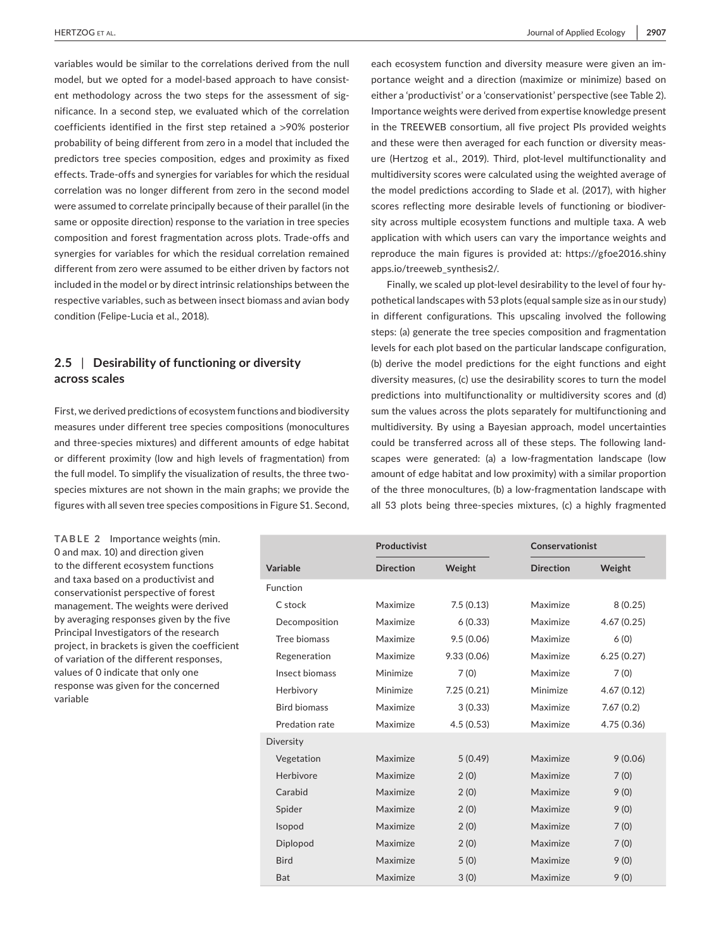variables would be similar to the correlations derived from the null model, but we opted for a model-based approach to have consistent methodology across the two steps for the assessment of significance. In a second step, we evaluated which of the correlation coefficients identified in the first step retained a >90% posterior probability of being different from zero in a model that included the predictors tree species composition, edges and proximity as fixed effects. Trade-offs and synergies for variables for which the residual correlation was no longer different from zero in the second model were assumed to correlate principally because of their parallel (in the same or opposite direction) response to the variation in tree species composition and forest fragmentation across plots. Trade-offs and synergies for variables for which the residual correlation remained different from zero were assumed to be either driven by factors not included in the model or by direct intrinsic relationships between the respective variables, such as between insect biomass and avian body condition (Felipe-Lucia et al., 2018).

# **2.5** | **Desirability of functioning or diversity across scales**

First, we derived predictions of ecosystem functions and biodiversity measures under different tree species compositions (monocultures and three-species mixtures) and different amounts of edge habitat or different proximity (low and high levels of fragmentation) from the full model. To simplify the visualization of results, the three twospecies mixtures are not shown in the main graphs; we provide the figures with all seven tree species compositions in Figure S1. Second,

**TABLE 2** Importance weights (min. 0 and max. 10) and direction given to the different ecosystem functions and taxa based on a productivist and conservationist perspective of forest management. The weights were derived by averaging responses given by the five Principal Investigators of the research project, in brackets is given the coefficient of variation of the different responses, values of 0 indicate that only one response was given for the concerned variable

each ecosystem function and diversity measure were given an importance weight and a direction (maximize or minimize) based on either a 'productivist' or a 'conservationist' perspective (see Table 2). Importance weights were derived from expertise knowledge present in the TREEWEB consortium, all five project PIs provided weights and these were then averaged for each function or diversity measure (Hertzog et al., 2019). Third, plot-level multifunctionality and multidiversity scores were calculated using the weighted average of the model predictions according to Slade et al. (2017), with higher scores reflecting more desirable levels of functioning or biodiversity across multiple ecosystem functions and multiple taxa. A web application with which users can vary the importance weights and reproduce the main figures is provided at: [https://gfoe2016.shiny](https://gfoe2016.shinyapps.io/treeweb_synthesis2/) [apps.io/treeweb\\_synthesis2/](https://gfoe2016.shinyapps.io/treeweb_synthesis2/).

Finally, we scaled up plot-level desirability to the level of four hypothetical landscapes with 53 plots (equal sample size as in our study) in different configurations. This upscaling involved the following steps: (a) generate the tree species composition and fragmentation levels for each plot based on the particular landscape configuration, (b) derive the model predictions for the eight functions and eight diversity measures, (c) use the desirability scores to turn the model predictions into multifunctionality or multidiversity scores and (d) sum the values across the plots separately for multifunctioning and multidiversity. By using a Bayesian approach, model uncertainties could be transferred across all of these steps. The following landscapes were generated: (a) a low-fragmentation landscape (low amount of edge habitat and low proximity) with a similar proportion of the three monocultures, (b) a low-fragmentation landscape with all 53 plots being three-species mixtures, (c) a highly fragmented

|                     | Productivist     |            |                  | Conservationist |  |
|---------------------|------------------|------------|------------------|-----------------|--|
| Variable            | <b>Direction</b> | Weight     | <b>Direction</b> | Weight          |  |
| Function            |                  |            |                  |                 |  |
| C stock             | Maximize         | 7.5(0.13)  | Maximize         | 8(0.25)         |  |
| Decomposition       | Maximize         | 6(0.33)    | Maximize         | 4.67(0.25)      |  |
| Tree biomass        | Maximize         | 9.5(0.06)  | Maximize         | 6(0)            |  |
| Regeneration        | Maximize         | 9.33(0.06) | Maximize         | 6.25(0.27)      |  |
| Insect biomass      | Minimize         | 7(0)       | Maximize         | 7(0)            |  |
| Herbivory           | Minimize         | 7.25(0.21) | Minimize         | 4.67(0.12)      |  |
| <b>Bird biomass</b> | Maximize         | 3(0.33)    | Maximize         | 7.67(0.2)       |  |
| Predation rate      | Maximize         | 4.5(0.53)  | Maximize         | 4.75 (0.36)     |  |
| Diversity           |                  |            |                  |                 |  |
| Vegetation          | Maximize         | 5(0.49)    | Maximize         | 9(0.06)         |  |
| Herbivore           | Maximize         | 2(0)       | Maximize         | 7(0)            |  |
| Carabid             | Maximize         | 2(0)       | Maximize         | 9(0)            |  |
| Spider              | Maximize         | 2(0)       | Maximize         | 9(0)            |  |
| Isopod              | Maximize         | 2(0)       | Maximize         | 7(0)            |  |
| Diplopod            | Maximize         | 2(0)       | Maximize         | 7(0)            |  |
| <b>Bird</b>         | Maximize         | 5(0)       | Maximize         | 9(0)            |  |
| Bat                 | Maximize         | 3(0)       | Maximize         | 9(0)            |  |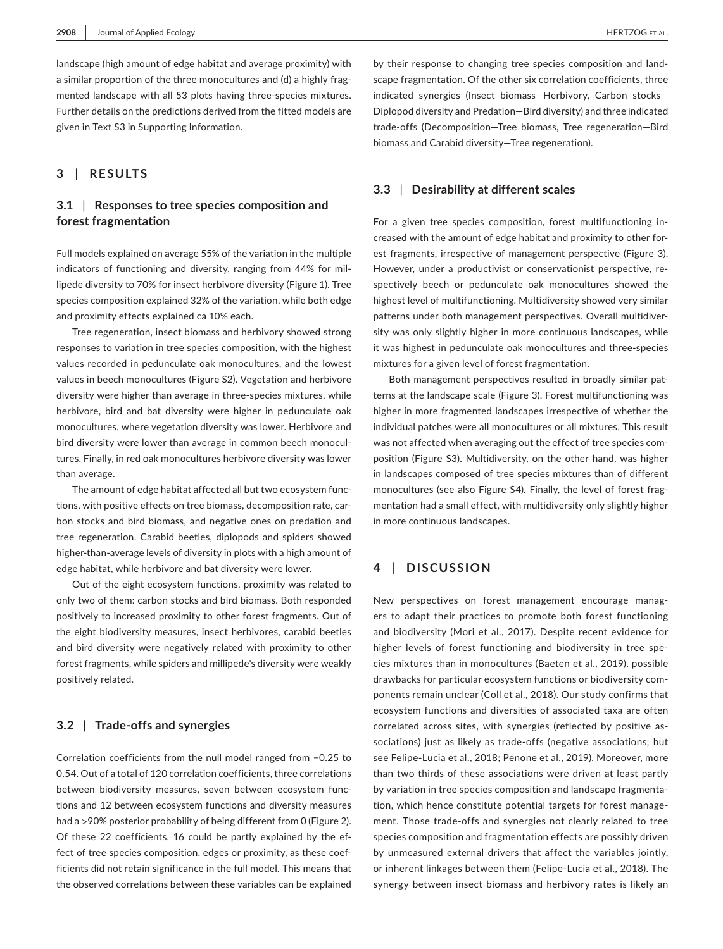landscape (high amount of edge habitat and average proximity) with a similar proportion of the three monocultures and (d) a highly fragmented landscape with all 53 plots having three-species mixtures. Further details on the predictions derived from the fitted models are given in Text S3 in Supporting Information.

## **3** | **RESULTS**

# **3.1** | **Responses to tree species composition and forest fragmentation**

Full models explained on average 55% of the variation in the multiple indicators of functioning and diversity, ranging from 44% for millipede diversity to 70% for insect herbivore diversity (Figure 1). Tree species composition explained 32% of the variation, while both edge and proximity effects explained ca 10% each.

Tree regeneration, insect biomass and herbivory showed strong responses to variation in tree species composition, with the highest values recorded in pedunculate oak monocultures, and the lowest values in beech monocultures (Figure S2). Vegetation and herbivore diversity were higher than average in three-species mixtures, while herbivore, bird and bat diversity were higher in pedunculate oak monocultures, where vegetation diversity was lower. Herbivore and bird diversity were lower than average in common beech monocultures. Finally, in red oak monocultures herbivore diversity was lower than average.

The amount of edge habitat affected all but two ecosystem functions, with positive effects on tree biomass, decomposition rate, carbon stocks and bird biomass, and negative ones on predation and tree regeneration. Carabid beetles, diplopods and spiders showed higher-than-average levels of diversity in plots with a high amount of edge habitat, while herbivore and bat diversity were lower.

Out of the eight ecosystem functions, proximity was related to only two of them: carbon stocks and bird biomass. Both responded positively to increased proximity to other forest fragments. Out of the eight biodiversity measures, insect herbivores, carabid beetles and bird diversity were negatively related with proximity to other forest fragments, while spiders and millipede's diversity were weakly positively related.

## **3.2** | **Trade-offs and synergies**

Correlation coefficients from the null model ranged from −0.25 to 0.54. Out of a total of 120 correlation coefficients, three correlations between biodiversity measures, seven between ecosystem functions and 12 between ecosystem functions and diversity measures had a >90% posterior probability of being different from 0 (Figure 2). Of these 22 coefficients, 16 could be partly explained by the effect of tree species composition, edges or proximity, as these coefficients did not retain significance in the full model. This means that the observed correlations between these variables can be explained

by their response to changing tree species composition and landscape fragmentation. Of the other six correlation coefficients, three indicated synergies (Insect biomass—Herbivory, Carbon stocks— Diplopod diversity and Predation—Bird diversity) and three indicated trade-offs (Decomposition—Tree biomass, Tree regeneration—Bird biomass and Carabid diversity—Tree regeneration).

## **3.3** | **Desirability at different scales**

For a given tree species composition, forest multifunctioning increased with the amount of edge habitat and proximity to other forest fragments, irrespective of management perspective (Figure 3). However, under a productivist or conservationist perspective, respectively beech or pedunculate oak monocultures showed the highest level of multifunctioning. Multidiversity showed very similar patterns under both management perspectives. Overall multidiversity was only slightly higher in more continuous landscapes, while it was highest in pedunculate oak monocultures and three-species mixtures for a given level of forest fragmentation.

Both management perspectives resulted in broadly similar patterns at the landscape scale (Figure 3). Forest multifunctioning was higher in more fragmented landscapes irrespective of whether the individual patches were all monocultures or all mixtures. This result was not affected when averaging out the effect of tree species composition (Figure S3). Multidiversity, on the other hand, was higher in landscapes composed of tree species mixtures than of different monocultures (see also Figure S4). Finally, the level of forest fragmentation had a small effect, with multidiversity only slightly higher in more continuous landscapes.

## **4** | **DISCUSSION**

New perspectives on forest management encourage managers to adapt their practices to promote both forest functioning and biodiversity (Mori et al., 2017). Despite recent evidence for higher levels of forest functioning and biodiversity in tree species mixtures than in monocultures (Baeten et al., 2019), possible drawbacks for particular ecosystem functions or biodiversity components remain unclear (Coll et al., 2018). Our study confirms that ecosystem functions and diversities of associated taxa are often correlated across sites, with synergies (reflected by positive associations) just as likely as trade-offs (negative associations; but see Felipe-Lucia et al., 2018; Penone et al., 2019). Moreover, more than two thirds of these associations were driven at least partly by variation in tree species composition and landscape fragmentation, which hence constitute potential targets for forest management. Those trade-offs and synergies not clearly related to tree species composition and fragmentation effects are possibly driven by unmeasured external drivers that affect the variables jointly, or inherent linkages between them (Felipe-Lucia et al., 2018). The synergy between insect biomass and herbivory rates is likely an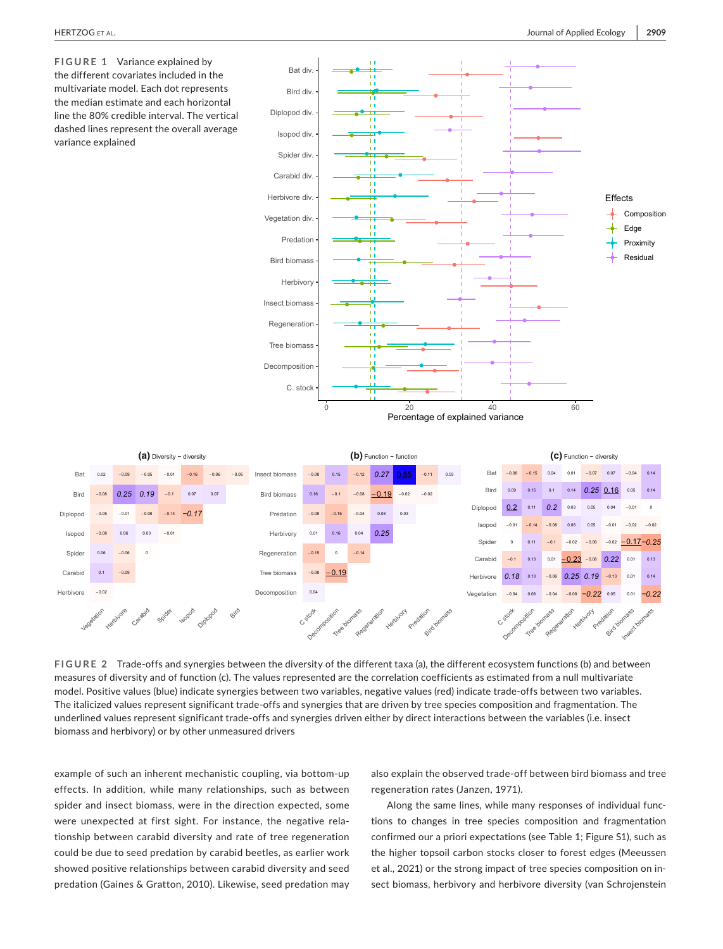**FIGURE 1** Variance explained by the different covariates included in the multivariate model. Each dot represents the median estimate and each horizontal line the 80% credible interval. The vertical dashed lines represent the overall average variance explained





**FIGURE 2** Trade-offs and synergies between the diversity of the different taxa (a), the different ecosystem functions (b) and between measures of diversity and of function (c). The values represented are the correlation coefficients as estimated from a null multivariate model. Positive values (blue) indicate synergies between two variables, negative values (red) indicate trade-offs between two variables. The italicized values represent significant trade-offs and synergies that are driven by tree species composition and fragmentation. The underlined values represent significant trade-offs and synergies driven either by direct interactions between the variables (i.e. insect biomass and herbivory) or by other unmeasured drivers

example of such an inherent mechanistic coupling, via bottom-up effects. In addition, while many relationships, such as between spider and insect biomass, were in the direction expected, some were unexpected at first sight. For instance, the negative relationship between carabid diversity and rate of tree regeneration could be due to seed predation by carabid beetles, as earlier work showed positive relationships between carabid diversity and seed predation (Gaines & Gratton, 2010). Likewise, seed predation may

also explain the observed trade-off between bird biomass and tree regeneration rates (Janzen, 1971).

Along the same lines, while many responses of individual functions to changes in tree species composition and fragmentation confirmed our a priori expectations (see Table 1; Figure S1), such as the higher topsoil carbon stocks closer to forest edges (Meeussen et al., 2021) or the strong impact of tree species composition on insect biomass, herbivory and herbivore diversity (van Schrojenstein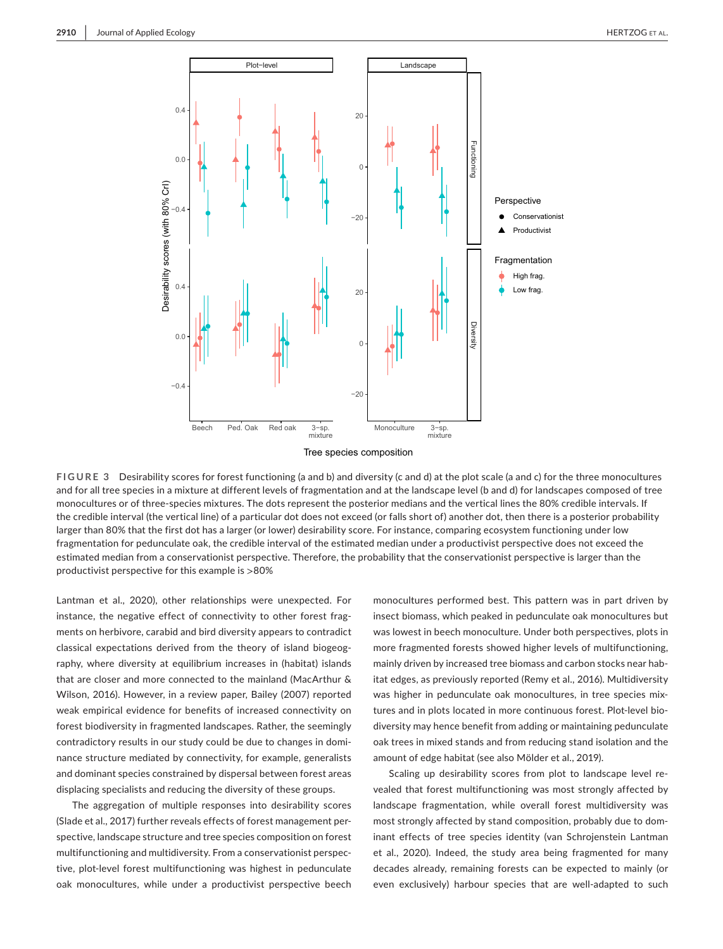

**FIGURE 3** Desirability scores for forest functioning (a and b) and diversity (c and d) at the plot scale (a and c) for the three monocultures and for all tree species in a mixture at different levels of fragmentation and at the landscape level (b and d) for landscapes composed of tree monocultures or of three-species mixtures. The dots represent the posterior medians and the vertical lines the 80% credible intervals. If the credible interval (the vertical line) of a particular dot does not exceed (or falls short of) another dot, then there is a posterior probability larger than 80% that the first dot has a larger (or lower) desirability score. For instance, comparing ecosystem functioning under low fragmentation for pedunculate oak, the credible interval of the estimated median under a productivist perspective does not exceed the estimated median from a conservationist perspective. Therefore, the probability that the conservationist perspective is larger than the productivist perspective for this example is >80%

Lantman et al., 2020), other relationships were unexpected. For instance, the negative effect of connectivity to other forest fragments on herbivore, carabid and bird diversity appears to contradict classical expectations derived from the theory of island biogeography, where diversity at equilibrium increases in (habitat) islands that are closer and more connected to the mainland (MacArthur & Wilson, 2016). However, in a review paper, Bailey (2007) reported weak empirical evidence for benefits of increased connectivity on forest biodiversity in fragmented landscapes. Rather, the seemingly contradictory results in our study could be due to changes in dominance structure mediated by connectivity, for example, generalists and dominant species constrained by dispersal between forest areas displacing specialists and reducing the diversity of these groups.

The aggregation of multiple responses into desirability scores (Slade et al., 2017) further reveals effects of forest management perspective, landscape structure and tree species composition on forest multifunctioning and multidiversity. From a conservationist perspective, plot-level forest multifunctioning was highest in pedunculate oak monocultures, while under a productivist perspective beech

monocultures performed best. This pattern was in part driven by insect biomass, which peaked in pedunculate oak monocultures but was lowest in beech monoculture. Under both perspectives, plots in more fragmented forests showed higher levels of multifunctioning, mainly driven by increased tree biomass and carbon stocks near habitat edges, as previously reported (Remy et al., 2016). Multidiversity was higher in pedunculate oak monocultures, in tree species mixtures and in plots located in more continuous forest. Plot-level biodiversity may hence benefit from adding or maintaining pedunculate oak trees in mixed stands and from reducing stand isolation and the amount of edge habitat (see also Mölder et al., 2019).

Scaling up desirability scores from plot to landscape level revealed that forest multifunctioning was most strongly affected by landscape fragmentation, while overall forest multidiversity was most strongly affected by stand composition, probably due to dominant effects of tree species identity (van Schrojenstein Lantman et al., 2020). Indeed, the study area being fragmented for many decades already, remaining forests can be expected to mainly (or even exclusively) harbour species that are well-adapted to such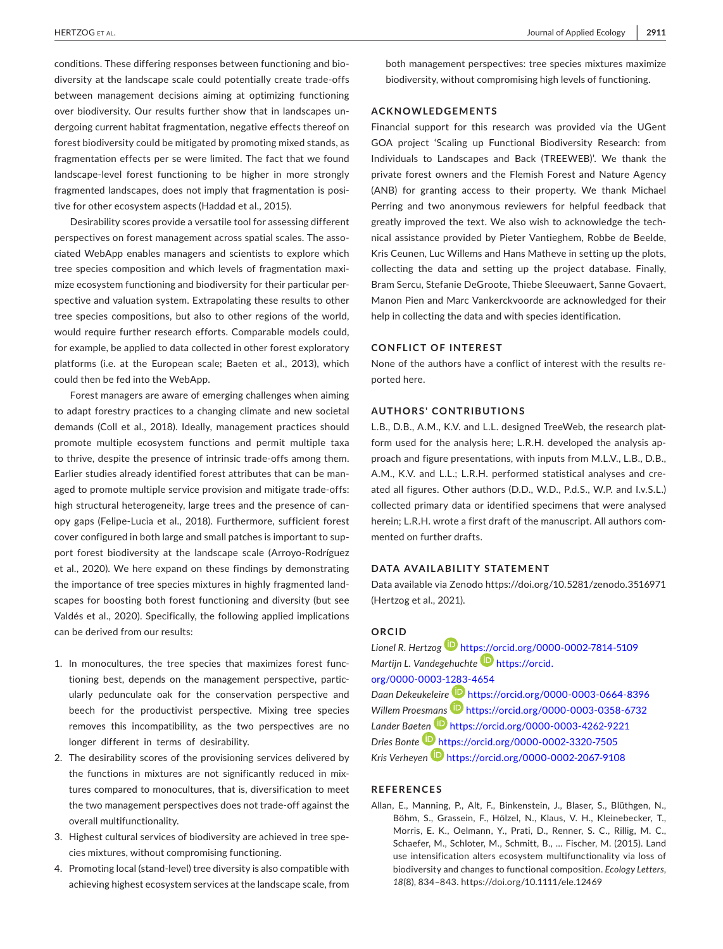conditions. These differing responses between functioning and biodiversity at the landscape scale could potentially create trade-offs between management decisions aiming at optimizing functioning over biodiversity. Our results further show that in landscapes undergoing current habitat fragmentation, negative effects thereof on forest biodiversity could be mitigated by promoting mixed stands, as fragmentation effects per se were limited. The fact that we found landscape-level forest functioning to be higher in more strongly fragmented landscapes, does not imply that fragmentation is positive for other ecosystem aspects (Haddad et al., 2015).

Desirability scores provide a versatile tool for assessing different perspectives on forest management across spatial scales. The associated WebApp enables managers and scientists to explore which tree species composition and which levels of fragmentation maximize ecosystem functioning and biodiversity for their particular perspective and valuation system. Extrapolating these results to other tree species compositions, but also to other regions of the world, would require further research efforts. Comparable models could, for example, be applied to data collected in other forest exploratory platforms (i.e. at the European scale; Baeten et al., 2013), which could then be fed into the WebApp.

Forest managers are aware of emerging challenges when aiming to adapt forestry practices to a changing climate and new societal demands (Coll et al., 2018). Ideally, management practices should promote multiple ecosystem functions and permit multiple taxa to thrive, despite the presence of intrinsic trade-offs among them. Earlier studies already identified forest attributes that can be managed to promote multiple service provision and mitigate trade-offs: high structural heterogeneity, large trees and the presence of canopy gaps (Felipe-Lucia et al., 2018). Furthermore, sufficient forest cover configured in both large and small patches is important to support forest biodiversity at the landscape scale (Arroyo-Rodríguez et al., 2020). We here expand on these findings by demonstrating the importance of tree species mixtures in highly fragmented landscapes for boosting both forest functioning and diversity (but see Valdés et al., 2020). Specifically, the following applied implications can be derived from our results:

- 1. In monocultures, the tree species that maximizes forest functioning best, depends on the management perspective, particularly pedunculate oak for the conservation perspective and beech for the productivist perspective. Mixing tree species removes this incompatibility, as the two perspectives are no longer different in terms of desirability.
- 2. The desirability scores of the provisioning services delivered by the functions in mixtures are not significantly reduced in mixtures compared to monocultures, that is, diversification to meet the two management perspectives does not trade-off against the overall multifunctionality.
- 3. Highest cultural services of biodiversity are achieved in tree species mixtures, without compromising functioning.
- 4. Promoting local (stand-level) tree diversity is also compatible with achieving highest ecosystem services at the landscape scale, from

both management perspectives: tree species mixtures maximize biodiversity, without compromising high levels of functioning.

### **ACKNOWLEDGEMENTS**

Financial support for this research was provided via the UGent GOA project 'Scaling up Functional Biodiversity Research: from Individuals to Landscapes and Back (TREEWEB)'. We thank the private forest owners and the Flemish Forest and Nature Agency (ANB) for granting access to their property. We thank Michael Perring and two anonymous reviewers for helpful feedback that greatly improved the text. We also wish to acknowledge the technical assistance provided by Pieter Vantieghem, Robbe de Beelde, Kris Ceunen, Luc Willems and Hans Matheve in setting up the plots, collecting the data and setting up the project database. Finally, Bram Sercu, Stefanie DeGroote, Thiebe Sleeuwaert, Sanne Govaert, Manon Pien and Marc Vankerckvoorde are acknowledged for their help in collecting the data and with species identification.

#### **CONFLICT OF INTEREST**

None of the authors have a conflict of interest with the results reported here.

#### **AUTHORS' CONTRIBUTIONS**

L.B., D.B., A.M., K.V. and L.L. designed TreeWeb, the research platform used for the analysis here; L.R.H. developed the analysis approach and figure presentations, with inputs from M.L.V., L.B., D.B., A.M., K.V. and L.L.; L.R.H. performed statistical analyses and created all figures. Other authors (D.D., W.D., P.d.S., W.P. and I.v.S.L.) collected primary data or identified specimens that were analysed herein; L.R.H. wrote a first draft of the manuscript. All authors commented on further drafts.

#### **DATA AVAILABILITY STATEMENT**

Data available via Zenodo<https://doi.org/10.5281/zenodo.3516971> (Hertzog et al., 2021).

## **ORCID**

*Lionel R. Hertzog* <https://orcid.org/0000-0002-7814-5109> *Martijn L. Vandegehuchte* [https://orcid.](https://orcid.org/0000-0003-1283-4654) [org/0000-0003-1283-4654](https://orcid.org/0000-0003-1283-4654) *Daan Dekeukeleir[e](https://orcid.org/0000-0003-0358-6732)* <https://orcid.org/0000-0003-0664-8396> *Willem Proes[mans](https://orcid.org/0000-0003-4262-9221)* **<https://orcid.org/0000-0003-0358-6732>** *Lander Bae[ten](https://orcid.org/0000-0002-3320-7505)* <https://orcid.org/0000-0003-4262-9221> *Dries Bonte* <https://orcid.org/0000-0002-3320-7505> *Kris Verheyen* <https://orcid.org/0000-0002-2067-9108>

## **REFERENCES**

Allan, E., Manning, P., Alt, F., Binkenstein, J., Blaser, S., Blüthgen, N., Böhm, S., Grassein, F., Hölzel, N., Klaus, V. H., Kleinebecker, T., Morris, E. K., Oelmann, Y., Prati, D., Renner, S. C., Rillig, M. C., Schaefer, M., Schloter, M., Schmitt, B., … Fischer, M. (2015). Land use intensification alters ecosystem multifunctionality via loss of biodiversity and changes to functional composition. *Ecology Letters*, *18*(8), 834–843. <https://doi.org/10.1111/ele.12469>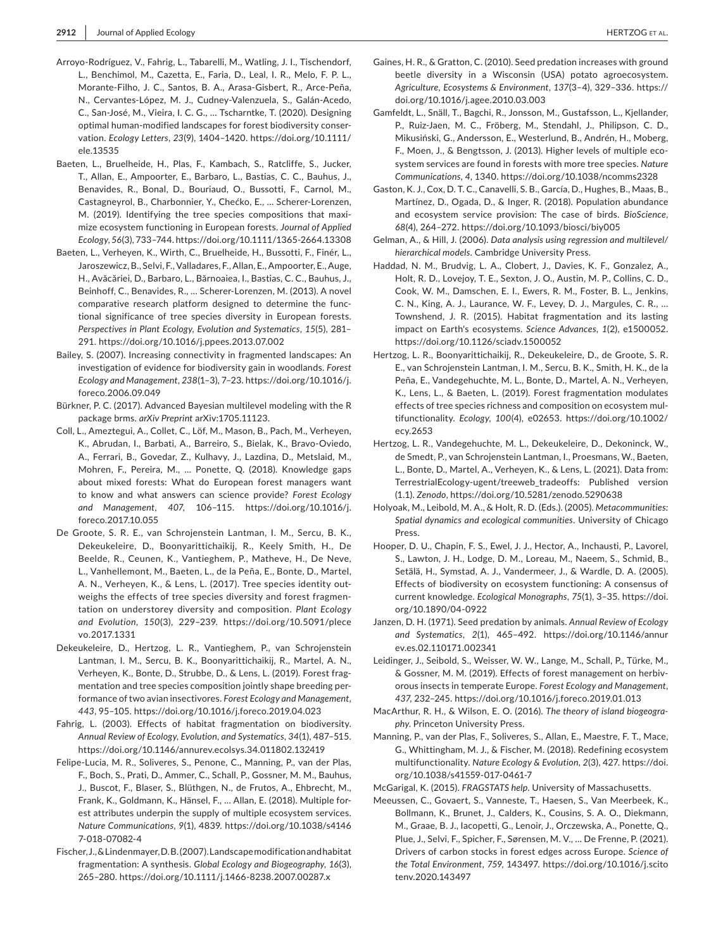- Arroyo-Rodríguez, V., Fahrig, L., Tabarelli, M., Watling, J. I., Tischendorf, L., Benchimol, M., Cazetta, E., Faria, D., Leal, I. R., Melo, F. P. L., Morante-Filho, J. C., Santos, B. A., Arasa-Gisbert, R., Arce-Peña, N., Cervantes-López, M. J., Cudney-Valenzuela, S., Galán-Acedo, C., San-José, M., Vieira, I. C. G., … Tscharntke, T. (2020). Designing optimal human-modified landscapes for forest biodiversity conservation. *Ecology Letters*, *23*(9), 1404–1420. [https://doi.org/10.1111/](https://doi.org/10.1111/ele.13535) [ele.13535](https://doi.org/10.1111/ele.13535)
- Baeten, L., Bruelheide, H., Plas, F., Kambach, S., Ratcliffe, S., Jucker, T., Allan, E., Ampoorter, E., Barbaro, L., Bastias, C. C., Bauhus, J., Benavides, R., Bonal, D., Bouriaud, O., Bussotti, F., Carnol, M., Castagneyrol, B., Charbonnier, Y., Chećko, E., … Scherer-Lorenzen, M. (2019). Identifying the tree species compositions that maximize ecosystem functioning in European forests. *Journal of Applied Ecology*, *56*(3), 733–744.<https://doi.org/10.1111/1365-2664.13308>
- Baeten, L., Verheyen, K., Wirth, C., Bruelheide, H., Bussotti, F., Finér, L., Jaroszewicz, B., Selvi, F., Valladares, F., Allan, E., Ampoorter, E., Auge, H., Avăcăriei, D., Barbaro, L., Bărnoaiea, I., Bastias, C. C., Bauhus, J., Beinhoff, C., Benavides, R., … Scherer-Lorenzen, M. (2013). A novel comparative research platform designed to determine the functional significance of tree species diversity in European forests. *Perspectives in Plant Ecology, Evolution and Systematics*, *15*(5), 281– 291.<https://doi.org/10.1016/j.ppees.2013.07.002>
- Bailey, S. (2007). Increasing connectivity in fragmented landscapes: An investigation of evidence for biodiversity gain in woodlands. *Forest Ecology and Management*, *238*(1–3), 7–23. [https://doi.org/10.1016/j.](https://doi.org/10.1016/j.foreco.2006.09.049) [foreco.2006.09.049](https://doi.org/10.1016/j.foreco.2006.09.049)
- Bürkner, P. C. (2017). Advanced Bayesian multilevel modeling with the R package brms. *arXiv Preprint* arXiv:1705.11123.
- Coll, L., Ameztegui, A., Collet, C., Löf, M., Mason, B., Pach, M., Verheyen, K., Abrudan, I., Barbati, A., Barreiro, S., Bielak, K., Bravo-Oviedo, A., Ferrari, B., Govedar, Z., Kulhavy, J., Lazdina, D., Metslaid, M., Mohren, F., Pereira, M., … Ponette, Q. (2018). Knowledge gaps about mixed forests: What do European forest managers want to know and what answers can science provide? *Forest Ecology and Management*, *407*, 106–115. [https://doi.org/10.1016/j.](https://doi.org/10.1016/j.foreco.2017.10.055) [foreco.2017.10.055](https://doi.org/10.1016/j.foreco.2017.10.055)
- De Groote, S. R. E., van Schrojenstein Lantman, I. M., Sercu, B. K., Dekeukeleire, D., Boonyarittichaikij, R., Keely Smith, H., De Beelde, R., Ceunen, K., Vantieghem, P., Matheve, H., De Neve, L., Vanhellemont, M., Baeten, L., de la Peña, E., Bonte, D., Martel, A. N., Verheyen, K., & Lens, L. (2017). Tree species identity outweighs the effects of tree species diversity and forest fragmentation on understorey diversity and composition. *Plant Ecology and Evolution*, *150*(3), 229–239. [https://doi.org/10.5091/plece](https://doi.org/10.5091/plecevo.2017.1331) [vo.2017.1331](https://doi.org/10.5091/plecevo.2017.1331)
- Dekeukeleire, D., Hertzog, L. R., Vantieghem, P., van Schrojenstein Lantman, I. M., Sercu, B. K., Boonyarittichaikij, R., Martel, A. N., Verheyen, K., Bonte, D., Strubbe, D., & Lens, L. (2019). Forest fragmentation and tree species composition jointly shape breeding performance of two avian insectivores. *Forest Ecology and Management*, *443*, 95–105.<https://doi.org/10.1016/j.foreco.2019.04.023>
- Fahrig, L. (2003). Effects of habitat fragmentation on biodiversity. *Annual Review of Ecology, Evolution, and Systematics*, *34*(1), 487–515. <https://doi.org/10.1146/annurev.ecolsys.34.011802.132419>
- Felipe-Lucia, M. R., Soliveres, S., Penone, C., Manning, P., van der Plas, F., Boch, S., Prati, D., Ammer, C., Schall, P., Gossner, M. M., Bauhus, J., Buscot, F., Blaser, S., Blüthgen, N., de Frutos, A., Ehbrecht, M., Frank, K., Goldmann, K., Hänsel, F., … Allan, E. (2018). Multiple forest attributes underpin the supply of multiple ecosystem services. *Nature Communications*, *9*(1), 4839. [https://doi.org/10.1038/s4146](https://doi.org/10.1038/s41467-018-07082-4) [7-018-07082-4](https://doi.org/10.1038/s41467-018-07082-4)
- Fischer, J., & Lindenmayer, D. B. (2007). Landscape modification and habitat fragmentation: A synthesis. *Global Ecology and Biogeography*, *16*(3), 265–280. <https://doi.org/10.1111/j.1466-8238.2007.00287.x>
- Gaines, H. R., & Gratton, C. (2010). Seed predation increases with ground beetle diversity in a Wisconsin (USA) potato agroecosystem. *Agriculture, Ecosystems & Environment*, *137*(3–4), 329–336. [https://](https://doi.org/10.1016/j.agee.2010.03.003) [doi.org/10.1016/j.agee.2010.03.003](https://doi.org/10.1016/j.agee.2010.03.003)
- Gamfeldt, L., Snäll, T., Bagchi, R., Jonsson, M., Gustafsson, L., Kjellander, P., Ruiz-Jaen, M. C., Fröberg, M., Stendahl, J., Philipson, C. D., Mikusiński, G., Andersson, E., Westerlund, B., Andrén, H., Moberg, F., Moen, J., & Bengtsson, J. (2013). Higher levels of multiple ecosystem services are found in forests with more tree species. *Nature Communications*, *4*, 1340. <https://doi.org/10.1038/ncomms2328>
- Gaston, K. J., Cox, D. T. C., Canavelli, S. B., García, D., Hughes, B., Maas, B., Martínez, D., Ogada, D., & Inger, R. (2018). Population abundance and ecosystem service provision: The case of birds. *BioScience*, *68*(4), 264–272.<https://doi.org/10.1093/biosci/biy005>
- Gelman, A., & Hill, J. (2006). *Data analysis using regression and multilevel/ hierarchical models*. Cambridge University Press.
- Haddad, N. M., Brudvig, L. A., Clobert, J., Davies, K. F., Gonzalez, A., Holt, R. D., Lovejoy, T. E., Sexton, J. O., Austin, M. P., Collins, C. D., Cook, W. M., Damschen, E. I., Ewers, R. M., Foster, B. L., Jenkins, C. N., King, A. J., Laurance, W. F., Levey, D. J., Margules, C. R., … Townshend, J. R. (2015). Habitat fragmentation and its lasting impact on Earth's ecosystems. *Science Advances*, *1*(2), e1500052. <https://doi.org/10.1126/sciadv.1500052>
- Hertzog, L. R., Boonyarittichaikij, R., Dekeukeleire, D., de Groote, S. R. E., van Schrojenstein Lantman, I. M., Sercu, B. K., Smith, H. K., de la Peña, E., Vandegehuchte, M. L., Bonte, D., Martel, A. N., Verheyen, K., Lens, L., & Baeten, L. (2019). Forest fragmentation modulates effects of tree species richness and composition on ecosystem multifunctionality. *Ecology*, *100*(4), e02653. [https://doi.org/10.1002/](https://doi.org/10.1002/ecy.2653) [ecy.2653](https://doi.org/10.1002/ecy.2653)
- Hertzog, L. R., Vandegehuchte, M. L., Dekeukeleire, D., Dekoninck, W., de Smedt, P., van Schrojenstein Lantman, I., Proesmans, W., Baeten, L., Bonte, D., Martel, A., Verheyen, K., & Lens, L. (2021). Data from: TerrestrialEcology-ugent/treeweb\_tradeoffs: Published version (1.1). *Zenodo*,<https://doi.org/10.5281/zenodo.5290638>
- Holyoak, M., Leibold, M. A., & Holt, R. D. (Eds.). (2005). *Metacommunities: Spatial dynamics and ecological communities*. University of Chicago Press.
- Hooper, D. U., Chapin, F. S., Ewel, J. J., Hector, A., Inchausti, P., Lavorel, S., Lawton, J. H., Lodge, D. M., Loreau, M., Naeem, S., Schmid, B., Setälä, H., Symstad, A. J., Vandermeer, J., & Wardle, D. A. (2005). Effects of biodiversity on ecosystem functioning: A consensus of current knowledge. *Ecological Monographs*, *75*(1), 3–35. [https://doi.](https://doi.org/10.1890/04-0922) [org/10.1890/04-0922](https://doi.org/10.1890/04-0922)
- Janzen, D. H. (1971). Seed predation by animals. *Annual Review of Ecology and Systematics*, *2*(1), 465–492. [https://doi.org/10.1146/annur](https://doi.org/10.1146/annurev.es.02.110171.002341) [ev.es.02.110171.002341](https://doi.org/10.1146/annurev.es.02.110171.002341)
- Leidinger, J., Seibold, S., Weisser, W. W., Lange, M., Schall, P., Türke, M., & Gossner, M. M. (2019). Effects of forest management on herbivorous insects in temperate Europe. *Forest Ecology and Management*, *437*, 232–245. <https://doi.org/10.1016/j.foreco.2019.01.013>
- MacArthur, R. H., & Wilson, E. O. (2016). *The theory of island biogeography*. Princeton University Press.
- Manning, P., van der Plas, F., Soliveres, S., Allan, E., Maestre, F. T., Mace, G., Whittingham, M. J., & Fischer, M. (2018). Redefining ecosystem multifunctionality. *Nature Ecology & Evolution*, *2*(3), 427. [https://doi.](https://doi.org/10.1038/s41559-017-0461-7) [org/10.1038/s41559-017-0461-7](https://doi.org/10.1038/s41559-017-0461-7)
- McGarigal, K. (2015). *FRAGSTATS help*. University of Massachusetts.
- Meeussen, C., Govaert, S., Vanneste, T., Haesen, S., Van Meerbeek, K., Bollmann, K., Brunet, J., Calders, K., Cousins, S. A. O., Diekmann, M., Graae, B. J., Iacopetti, G., Lenoir, J., Orczewska, A., Ponette, Q., Plue, J., Selvi, F., Spicher, F., Sørensen, M. V., … De Frenne, P. (2021). Drivers of carbon stocks in forest edges across Europe. *Science of the Total Environment*, *759*, 143497. [https://doi.org/10.1016/j.scito](https://doi.org/10.1016/j.scitotenv.2020.143497) [tenv.2020.143497](https://doi.org/10.1016/j.scitotenv.2020.143497)